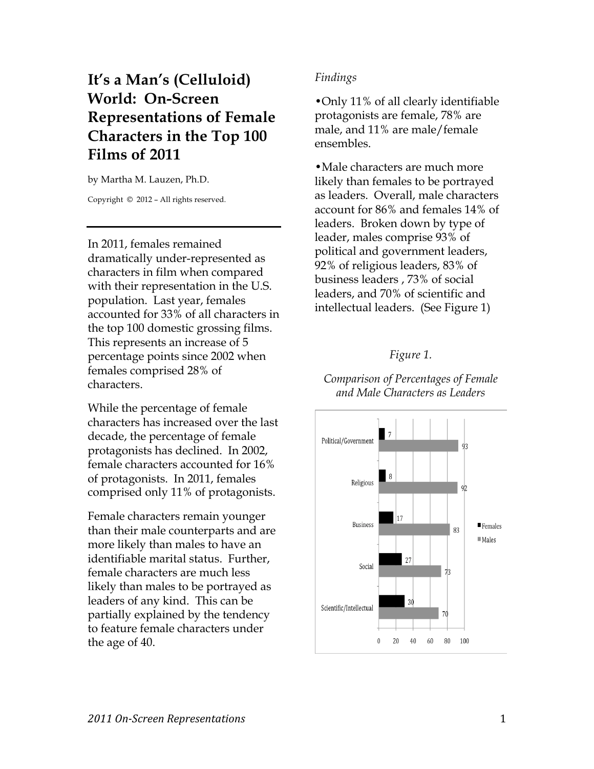## **It's a Man's (Celluloid) World: On-Screen Representations of Female Characters in the Top 100 Films of 2011**

by Martha M. Lauzen, Ph.D.

Copyright © 2012 – All rights reserved.

In 2011, females remained dramatically under-represented as characters in film when compared with their representation in the U.S. population. Last year, females accounted for 33% of all characters in the top 100 domestic grossing films. This represents an increase of 5 percentage points since 2002 when females comprised 28% of characters.

While the percentage of female characters has increased over the last decade, the percentage of female protagonists has declined. In 2002, female characters accounted for 16% of protagonists. In 2011, females comprised only 11% of protagonists.

Female characters remain younger than their male counterparts and are more likely than males to have an identifiable marital status. Further, female characters are much less likely than males to be portrayed as leaders of any kind. This can be partially explained by the tendency to feature female characters under the age of 40.

## *Findings*

•Only 11% of all clearly identifiable protagonists are female, 78% are male, and 11% are male/female ensembles.

•Male characters are much more likely than females to be portrayed as leaders. Overall, male characters account for 86% and females 14% of leaders. Broken down by type of leader, males comprise 93% of political and government leaders, 92% of religious leaders, 83% of business leaders , 73% of social leaders, and 70% of scientific and intellectual leaders. (See Figure 1)

## *Figure 1.*

*Comparison of Percentages of Female and Male Characters as Leaders*